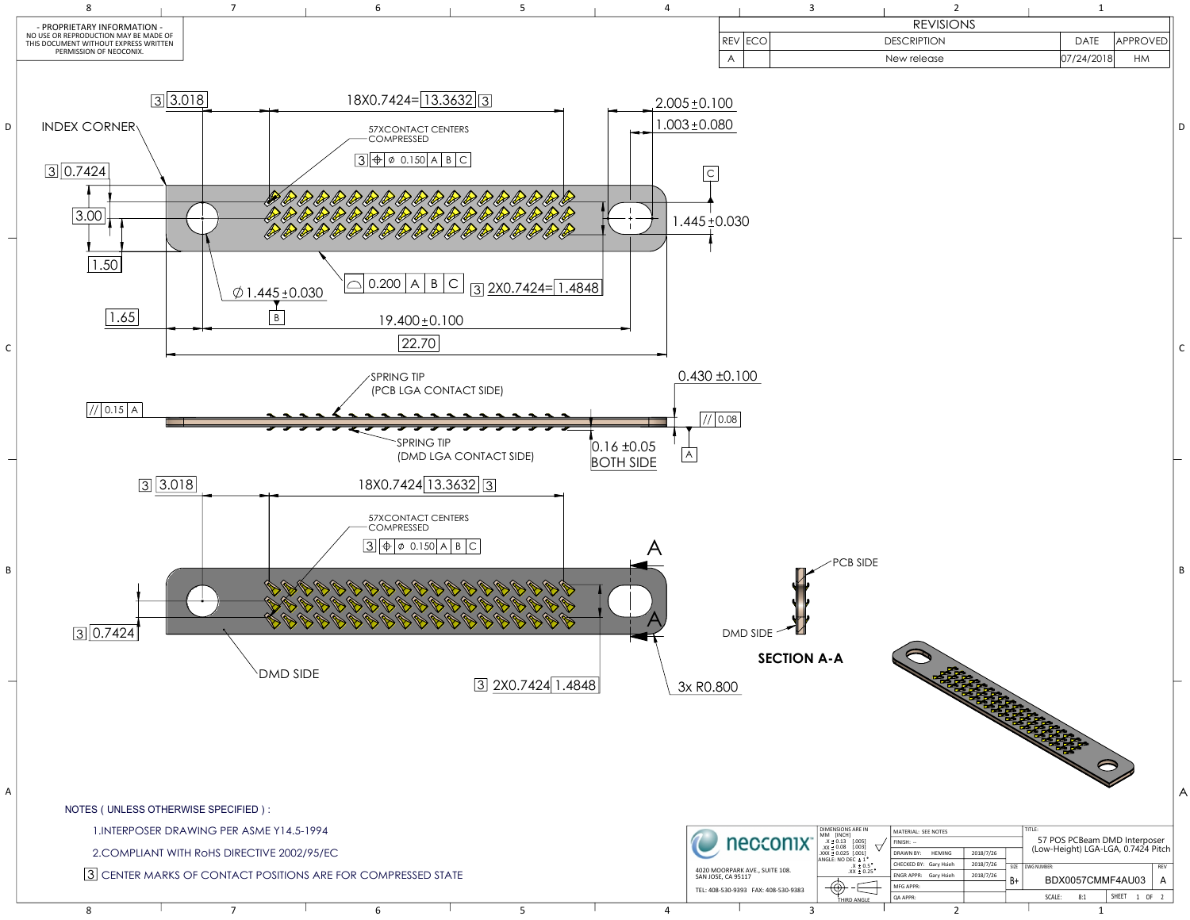

|          | <b>REVISIONS</b>   |            |                 |
|----------|--------------------|------------|-----------------|
| REV ECOI | <b>DESCRIPTION</b> | DATE       | <b>APPROVED</b> |
|          | New release        | 07/24/2018 | <b>HM</b>       |
|          |                    |            |                 |

| - |  |
|---|--|
|   |  |
|   |  |
|   |  |
|   |  |

| 1. INTERPOSER DRAWING PER ASME Y14.5-1994                    |  |  |  |  |  |  | <b>DIMENSIONS ARE IN</b><br>MATERIAL: SEE NOTES<br>I MM FINCHI |                                |                                                                                        |                                          |                        | 57 POS PCBeam DMD Interposer |    |                                    |  |  |
|--------------------------------------------------------------|--|--|--|--|--|--|----------------------------------------------------------------|--------------------------------|----------------------------------------------------------------------------------------|------------------------------------------|------------------------|------------------------------|----|------------------------------------|--|--|
| 2.COMPLIANT WITH RoHS DIRECTIVE 2002/95/EC                   |  |  |  |  |  |  |                                                                | necconix <sup>-</sup>          | $.X \pm 0.13$ [.005]<br>$\text{XX} \pm 0.08$ [.003]<br>$\vert$ .XXX $\pm$ 0.025 [.001] | FINISH: --<br><b>HEMING</b><br>DRAWN BY: | 2018/7/26              |                              |    | (Low-Height) LGA-LGA, 0.7424 Pitch |  |  |
| 3 CENTER MARKS OF CONTACT POSITIONS ARE FOR COMPRESSED STATE |  |  |  |  |  |  |                                                                | 4020 MOORPARK AVE SUITE 108.   | ANGLE: NO DEC ± 1<br>$.X = 0.5$                                                        | CHECKED BY: Gary Hsieh                   | 2018/7/26              | <b>DWG NUMBER</b><br>REV     |    |                                    |  |  |
|                                                              |  |  |  |  |  |  | SAN JOSE, CA 95117                                             |                                | $.XX \pm 0.25$                                                                         | ENGR APPR: Gary Hsieh                    | 2018/7/26              | BDX0057CMMF4AU03             |    |                                    |  |  |
|                                                              |  |  |  |  |  |  | TEL: 408-530-9393 FAX: 408-530-9383                            | $\Theta$<br><b>THIRD ANGLE</b> | <b>MFG APPR:</b><br><b>QA APPR:</b>                                                    |                                          | SHEET<br>SCALE:<br>8:1 |                              | OF |                                    |  |  |
|                                                              |  |  |  |  |  |  |                                                                |                                |                                                                                        |                                          |                        |                              |    |                                    |  |  |

1.INTERPOSER DRAWING PER ASME Y14.5-1994